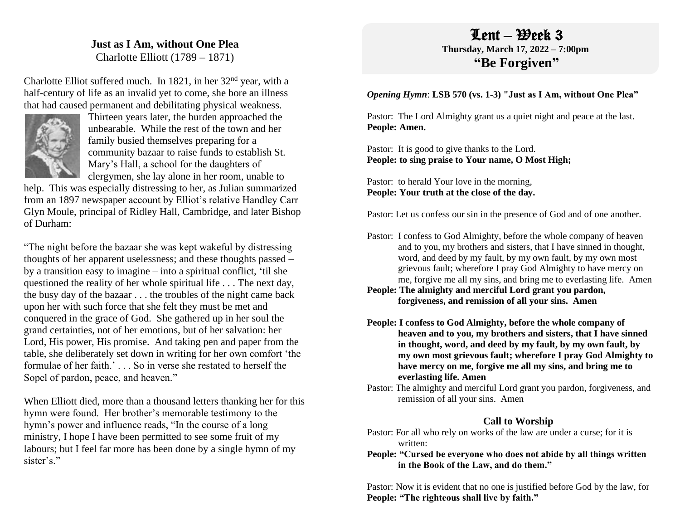# **Just as I Am, without One Plea**

Charlotte Elliott (1789 – 1871)

Charlotte Elliot suffered much. In 1821, in her 32nd year, with a half-century of life as an invalid yet to come, she bore an illness that had caused permanent and debilitating physical weakness.



Thirteen years later, the burden approached the unbearable. While the rest of the town and her family busied themselves preparing for a community bazaar to raise funds to establish St. Mary's Hall, a school for the daughters of clergymen, she lay alone in her room, unable to

help. This was especially distressing to her, as Julian summarized from an 1897 newspaper account by Elliot's relative Handley Carr Glyn Moule, principal of Ridley Hall, Cambridge, and later Bishop of Durham:

"The night before the bazaar she was kept wakeful by distressing thoughts of her apparent uselessness; and these thoughts passed – by a transition easy to imagine – into a spiritual conflict, 'til she questioned the reality of her whole spiritual life . . . The next day, the busy day of the bazaar . . . the troubles of the night came back upon her with such force that she felt they must be met and conquered in the grace of God. She gathered up in her soul the grand certainties, not of her emotions, but of her salvation: her Lord, His power, His promise. And taking pen and paper from the table, she deliberately set down in writing for her own comfort 'the formulae of her faith.' . . . So in verse she restated to herself the Sopel of pardon, peace, and heaven."

When Elliott died, more than a thousand letters thanking her for this hymn were found. Her brother's memorable testimony to the hymn's power and influence reads, "In the course of a long ministry, I hope I have been permitted to see some fruit of my labours; but I feel far more has been done by a single hymn of my sister's."

# $Lent - *H*$ eek 3 **Thursday, March 17, 2022 – 7:00pm "Be Forgiven"**

### *Opening Hymn*: **LSB 570 (vs. 1-3) "Just as I Am, without One Plea"**

Pastor: The Lord Almighty grant us a quiet night and peace at the last. **People: Amen.**

Pastor: It is good to give thanks to the Lord. **People: to sing praise to Your name, O Most High;**

Pastor: to herald Your love in the morning, **People: Your truth at the close of the day.** 

Pastor: Let us confess our sin in the presence of God and of one another.

Pastor: I confess to God Almighty, before the whole company of heaven and to you, my brothers and sisters, that I have sinned in thought, word, and deed by my fault, by my own fault, by my own most grievous fault; wherefore I pray God Almighty to have mercy on me, forgive me all my sins, and bring me to everlasting life. Amen

**People: The almighty and merciful Lord grant you pardon, forgiveness, and remission of all your sins. Amen**

**People: I confess to God Almighty, before the whole company of heaven and to you, my brothers and sisters, that I have sinned in thought, word, and deed by my fault, by my own fault, by my own most grievous fault; wherefore I pray God Almighty to have mercy on me, forgive me all my sins, and bring me to everlasting life. Amen**

Pastor: The almighty and merciful Lord grant you pardon, forgiveness, and remission of all your sins. Amen

## **Call to Worship**

Pastor: For all who rely on works of the law are under a curse; for it is written:

**People: "Cursed be everyone who does not abide by all things written in the Book of the Law, and do them."**

Pastor: Now it is evident that no one is justified before God by the law, for **People: "The righteous shall live by faith."**